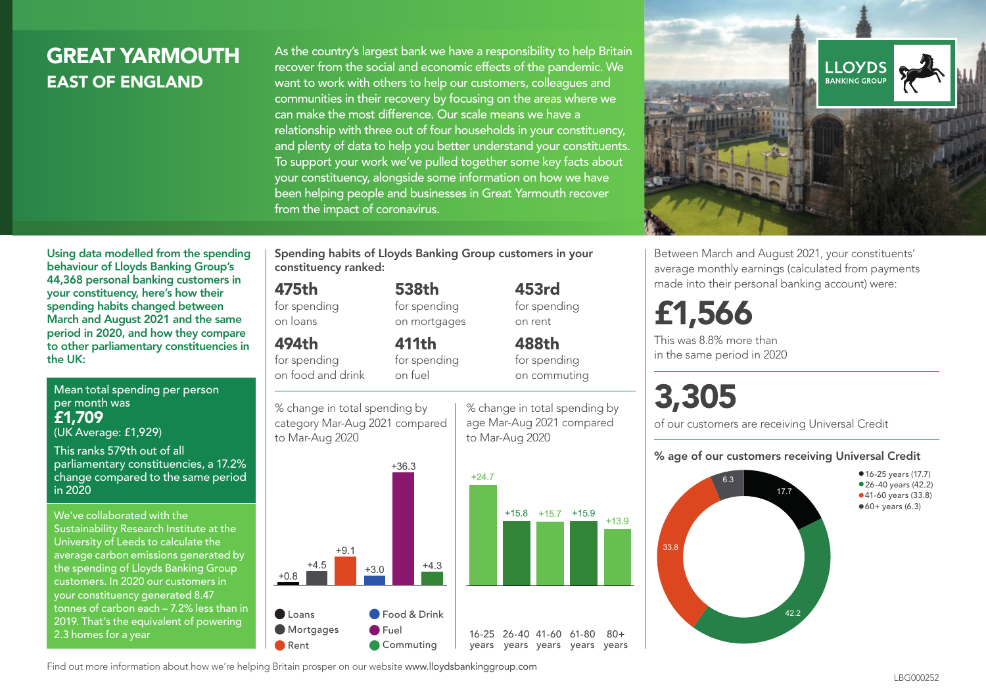## GREAT YARMOUTH EAST OF ENGLAND

Using data modelled from the spending behaviour of Lloyds Banking Group's 44,368 personal banking customers in your constituency, here's how their spending habits changed between

As the country's largest bank we have a responsibility to help Britain recover from the social and economic effects of the pandemic. We want to work with others to help our customers, colleagues and communities in their recovery by focusing on the areas where we can make the most difference. Our scale means we have a relationship with three out of four households in your constituency, and plenty of data to help you better understand your constituents. To support your work we've pulled together some key facts about your constituency, alongside some information on how we have been helping people and businesses in Great Yarmouth recover from the impact of coronavirus.



Between March and August 2021, your constituents' average monthly earnings (calculated from payments made into their personal banking account) were:

## £1,566

This was 8.8% more than in the same period in 2020

# 3,305

of our customers are receiving Universal Credit

#### % age of our customers receiving Universal Credit



March and August 2021 and the same period in 2020, and how they compare to other parliamentary constituencies in 494th for spending

Mean total spending per person per month was £1,709 (UK Average: £1,929)

the UK:

This ranks 579th out of all parliamentary constituencies, a 17.2% change compared to the same period in 2020

We've collaborated with the Sustainability Research Institute at the University of Leeds to calculate the average carbon emissions generated by the spending of Lloyds Banking Group customers. In 2020 our customers in your constituency generated 8.47 tonnes of carbon each – 7.2% less than in 2019. That's the equivalent of powering 2.3 homes for a year

Spending habits of Lloyds Banking Group customers in your constituency ranked:

> 538th for spending on mortgages

411th for spending on fuel

#### 475th

for spending on loans

on food and drink

% change in total spending by category Mar-Aug 2021 compared



**O**Fuel Commuting % change in total spending by age Mar-Aug 2021 compared to Mar-Aug 2020

16-25 26-40 41-60 61-80 years years years years years

 $80 +$ 

453rd for spending on rent 488th

for spending on commuting

Find out more information about how we're helping Britain prosper on our website www.lloydsbankinggroup.com

Rent